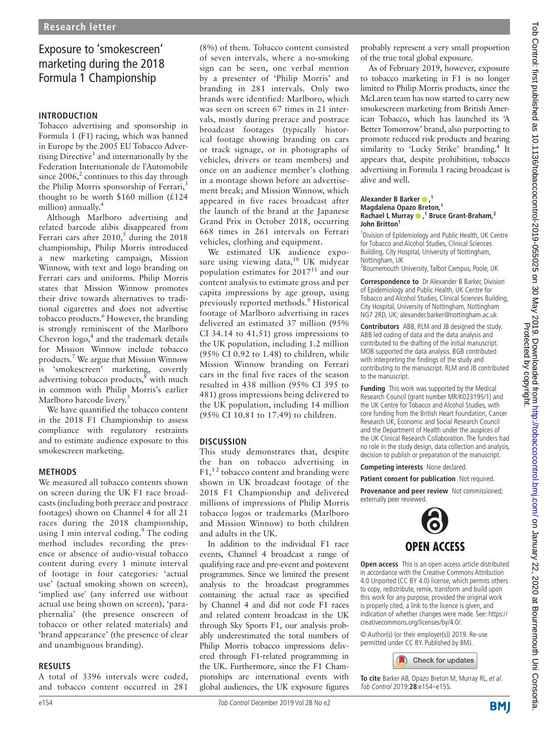# Exposure to 'smokescreen' marketing during the 2018 Formula 1 Championship

## **Introduction**

Tobacco advertising and sponsorship in Formula 1 (F1) racing, which was banned in Europe by the 2005 EU Tobacco Advertising Directive<sup>1</sup> and internationally by the Federation Internationale de l'Automobile since  $2006$  $2006$ <sup>2</sup> continues to this day through the Philip Morris sponsorship of Ferrari,<sup>[3](#page-1-2)</sup> thought to be worth \$160 million  $(£124$ million) annually.<sup>4</sup>

Although Marlboro advertising and related barcode alibis disappeared from Ferrari cars after  $2010$ ,<sup>[5](#page-1-4)</sup> during the 2018 championship, Philip Morris introduced a new marketing campaign, Mission Winnow, with text and logo branding on Ferrari cars and uniforms. Philip Morris states that Mission Winnow promotes their drive towards alternatives to traditional cigarettes and does not advertise tobacco products.<sup>6</sup> However, the branding is strongly reminiscent of the Marlboro Chevron  $\log o$ <sup>[4](#page-1-3)</sup> and the trademark details for Mission Winnow include tobacco products.[7](#page-1-6) We argue that Mission Winnow is 'smokescreen' marketing, covertly advertising tobacco products, $\frac{8}{3}$  with much in common with Philip Morris's earlier Marlboro barcode livery.<sup>[5](#page-1-4)</sup>

We have quantified the tobacco content in the 2018 F1 Championship to assess compliance with regulatory restraints and to estimate audience exposure to this smokescreen marketing.

# **Methods**

We measured all tobacco contents shown on screen during the UK F1 race broadcasts (including both prerace and postrace footages) shown on Channel 4 for all 21 races during the 2018 championship, using 1 min interval coding.<sup>[9](#page-1-8)</sup> The coding method includes recording the presence or absence of audio-visual tobacco content during every 1 minute interval of footage in four categories: 'actual use' (actual smoking shown on screen), 'implied use' (any inferred use without actual use being shown on screen), 'paraphernalia' (the presence onscreen of tobacco or other related materials) and 'brand appearance' (the presence of clear and unambiguous branding).

### **Results**

A total of 3396 intervals were coded, and tobacco content occurred in 281

(8%) of them. Tobacco content consisted of seven intervals, where a no-smoking sign can be seen, one verbal mention by a presenter of 'Philip Morris' and branding in 281 intervals. Only two brands were identified: Marlboro, which was seen on screen 67 times in 21 intervals, mostly during prerace and postrace broadcast footages (typically historical footage showing branding on cars or track signage, or in photographs of vehicles, drivers or team members) and once on an audience member's clothing in a montage shown before an advertisement break; and Mission Winnow, which appeared in five races broadcast after the launch of the brand at the Japanese Grand Prix in October 2018, occurring 668 times in 261 intervals on Ferrari vehicles, clothing and equipment.

We estimated UK audience exposure using viewing data, $10$  UK midyear population estimates for  $2017<sup>11</sup>$  $2017<sup>11</sup>$  $2017<sup>11</sup>$  and our content analysis to estimate gross and per capita impressions by age group, using previously reported methods.<sup>[9](#page-1-8)</sup> Historical footage of Marlboro advertising in races delivered an estimated 37 million (95% CI 34.14 to 41.51) gross impressions to the UK population, including 1.2 million (95% CI 0.92 to 1.48) to children, while Mission Winnow branding on Ferrari cars in the final five races of the season resulted in 438 million (95% CI 395 to 481) gross impressions being delivered to the UK population, including 14 million (95% CI 10.81 to 17.49) to children.

# **Discussion**

This study demonstrates that, despite the ban on tobacco advertising in F1,<sup>12</sup> tobacco content and branding were shown in UK broadcast footage of the 2018 F1 Championship and delivered millions of impressions of Philip Morris tobacco logos or trademarks (Marlboro and Mission Winnow) to both children and adults in the UK.

In addition to the individual F1 race events, Channel 4 broadcast a range of qualifying race and pre-event and postevent programmes. Since we limited the present analysis to the broadcast programmes containing the actual race as specified by Channel 4 and did not code F1 races and related content broadcast in the UK through Sky Sports F1, our analysis probably underestimated the total numbers of Philip Morris tobacco impressions delivered through F1-related programming in the UK. Furthermore, since the F1 Championships are international events with global audiences, the UK exposure figures

probably represent a very small proportion of the true total global exposure.

As of February 2019, however, exposure to tobacco marketing in F1 is no longer limited to Philip Morris products, since the McLaren team has now started to carry new smokescreen marketing from British American Tobacco, which has launched its 'A Better Tomorrow' brand, also purporting to promote reduced risk products and bearing similarity to 'Lucky Strike' branding.<sup>4</sup> It appears that, despite prohibition, tobacco advertising in Formula 1 racing broadcast is alive and well.

#### Alexander B Barker <sup>0</sup>,<sup>1</sup> **Magdalena Opazo Breton,<sup>1</sup> Rachael L Murray,1 Bruce Grant-Braham,2 John Britton1**

<sup>1</sup> Division of Epidemiology and Public Health, UK Centre for Tobacco and Alcohol Studies, Clinical Sciences Building, City Hospital, University of Nottingham, Nottingham, UK

<sup>2</sup> Bournemouth University, Talbot Campus, Poole, UK

**Correspondence to** Dr Alexander B Barker, Division of Epidemiology and Public Health, UK Centre for Tobacco and Alcohol Studies, Clinical Sciences Building, City Hospital, University of Nottingham, Nottingham NG7 2RD, UK; alexander.barker@nottingham.ac.uk

**Contributors** ABB, RLM and JB designed the study. ABB led coding of data and the data analysis and contributed to the drafting of the initial manuscript. MOB supported the data analysis. BGB contributed with interpreting the findings of the study and contributing to the manuscript. RLM and JB contributed to the manuscript.

**Funding** This work was supported by the Medical Research Council (grant number MR/K023195/1) and the UK Centre for Tobacco and Alcohol Studies, with core funding from the British Heart Foundation, Cancer Research UK, Economic and Social Research Council and the Department of Health under the auspices of the UK Clinical Research Collaboration. The funders had no role in the study design, data collection and analysis, decision to publish or preparation of the manuscript.

**Competing interests** None declared.

**Patient consent for publication** Not required.

**Provenance and peer review** Not commissioned: externally peer reviewed.



**Open access** This is an open access article distributed in accordance with the Creative Commons Attribution 4.0 Unported (CC BY 4.0) license, which permits others to copy, redistribute, remix, transform and build upon this work for any purpose, provided the original work is properly cited, a link to the licence is given, and indication of whether changes were made. See: [https://](https://creativecommons.org/licenses/by/4.0/) [creativecommons.org/licenses/by/4.0/.](https://creativecommons.org/licenses/by/4.0/)

© Author(s) (or their employer(s)) 2019. Re-use permitted under CC BY. Published by BMJ.



**To cite** Barker AB, Opazo Breton M, Murray RL, et al. Tob Control 2019;**28**:e154–e155.